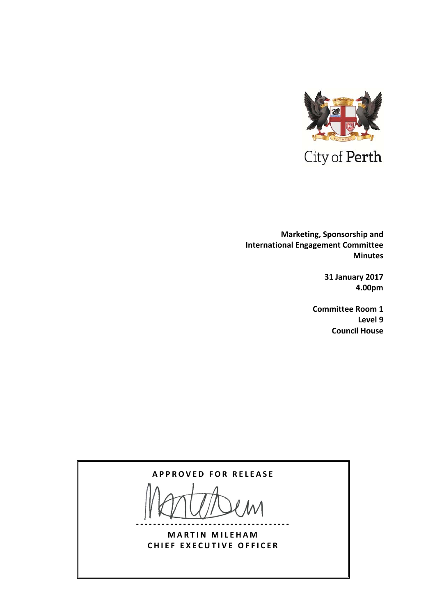

  **Marketing, Sponsorship and International Engagement Committee Minutes**

> **31 January 2017 4.00pm**

**Committee Room 1 Level 9 Council House**

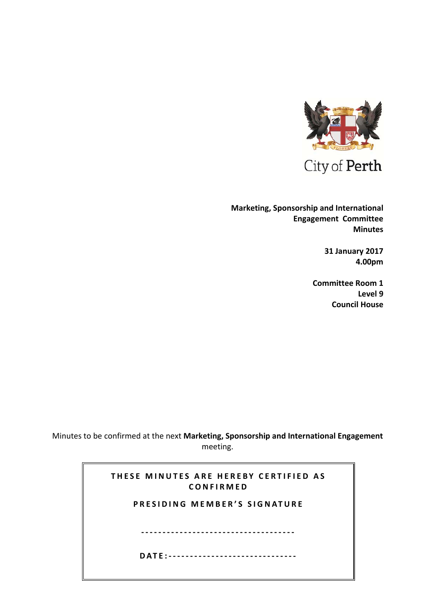

City of Perth

**Marketing, Sponsorship and International Engagement Committee Minutes**

> **31 January 2017 4.00pm**

**Committee Room 1 Level 9 Council House**

Minutes to be confirmed at the next **Marketing, Sponsorship and International Engagement** meeting.

| THESE MINUTES ARE HEREBY CERTIFIED AS<br>CONFIRMED |
|----------------------------------------------------|
| PRESIDING MEMBER'S SIGNATURE                       |
|                                                    |
|                                                    |
| DATF:--------------------------------              |
|                                                    |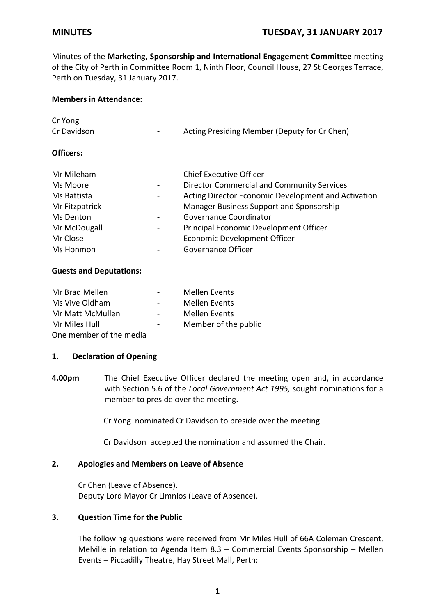Minutes of the **Marketing, Sponsorship and International Engagement Committee** meeting of the City of Perth in Committee Room 1, Ninth Floor, Council House, 27 St Georges Terrace, Perth on Tuesday, 31 January 2017.

### **Members in Attendance:**

| $\overline{\phantom{a}}$     | Acting Presiding Member (Deputy for Cr Chen)        |
|------------------------------|-----------------------------------------------------|
|                              |                                                     |
| $\qquad \qquad \blacksquare$ | Chief Executive Officer                             |
| $\qquad \qquad \blacksquare$ | <b>Director Commercial and Community Services</b>   |
| $\qquad \qquad \blacksquare$ | Acting Director Economic Development and Activation |
| $\qquad \qquad \blacksquare$ | Manager Business Support and Sponsorship            |
| $\overline{\phantom{a}}$     | Governance Coordinator                              |
| -                            | Principal Economic Development Officer              |
| $\overline{\phantom{a}}$     | Economic Development Officer                        |
|                              | Governance Officer                                  |
|                              |                                                     |

# **Guests and Deputations:**

| Mr Brad Mellen          |        | <b>Mellen Events</b> |
|-------------------------|--------|----------------------|
| Ms Vive Oldham          | $\sim$ | <b>Mellen Events</b> |
| Mr Matt McMullen        |        | <b>Mellen Events</b> |
| Mr Miles Hull           |        | Member of the public |
| One member of the media |        |                      |

# **1. Declaration of Opening**

**4.00pm** The Chief Executive Officer declared the meeting open and, in accordance with Section 5.6 of the *Local Government Act 1995,* sought nominations for a member to preside over the meeting.

Cr Yong nominated Cr Davidson to preside over the meeting.

Cr Davidson accepted the nomination and assumed the Chair.

# **2. Apologies and Members on Leave of Absence**

Cr Chen (Leave of Absence). Deputy Lord Mayor Cr Limnios (Leave of Absence).

## **3. Question Time for the Public**

The following questions were received from Mr Miles Hull of 66A Coleman Crescent, Melville in relation to Agenda Item 8.3 – Commercial Events Sponsorship – Mellen Events – Piccadilly Theatre, Hay Street Mall, Perth: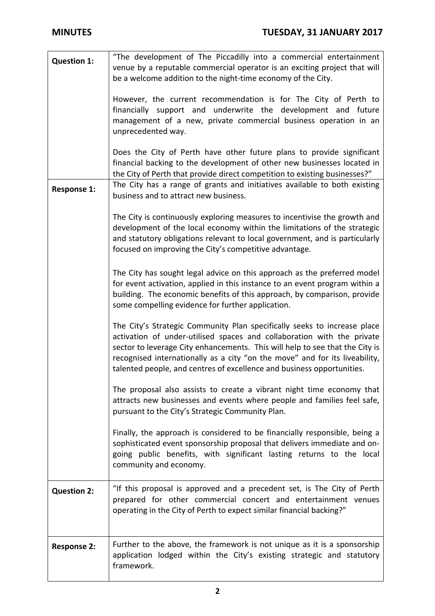| <b>Question 1:</b> | "The development of The Piccadilly into a commercial entertainment<br>venue by a reputable commercial operator is an exciting project that will<br>be a welcome addition to the night-time economy of the City.                                                                                                                                                                             |
|--------------------|---------------------------------------------------------------------------------------------------------------------------------------------------------------------------------------------------------------------------------------------------------------------------------------------------------------------------------------------------------------------------------------------|
|                    | However, the current recommendation is for The City of Perth to<br>financially support and underwrite the development and future<br>management of a new, private commercial business operation in an<br>unprecedented way.                                                                                                                                                                  |
|                    | Does the City of Perth have other future plans to provide significant<br>financial backing to the development of other new businesses located in<br>the City of Perth that provide direct competition to existing businesses?"                                                                                                                                                              |
| <b>Response 1:</b> | The City has a range of grants and initiatives available to both existing<br>business and to attract new business.                                                                                                                                                                                                                                                                          |
|                    | The City is continuously exploring measures to incentivise the growth and<br>development of the local economy within the limitations of the strategic<br>and statutory obligations relevant to local government, and is particularly<br>focused on improving the City's competitive advantage.                                                                                              |
|                    | The City has sought legal advice on this approach as the preferred model<br>for event activation, applied in this instance to an event program within a<br>building. The economic benefits of this approach, by comparison, provide<br>some compelling evidence for further application.                                                                                                    |
|                    | The City's Strategic Community Plan specifically seeks to increase place<br>activation of under-utilised spaces and collaboration with the private<br>sector to leverage City enhancements. This will help to see that the City is<br>recognised internationally as a city "on the move" and for its liveability,<br>talented people, and centres of excellence and business opportunities. |
|                    | The proposal also assists to create a vibrant night time economy that<br>attracts new businesses and events where people and families feel safe,<br>pursuant to the City's Strategic Community Plan.                                                                                                                                                                                        |
|                    | Finally, the approach is considered to be financially responsible, being a<br>sophisticated event sponsorship proposal that delivers immediate and on-<br>going public benefits, with significant lasting returns to the local<br>community and economy.                                                                                                                                    |
| <b>Question 2:</b> | "If this proposal is approved and a precedent set, is The City of Perth<br>prepared for other commercial concert and entertainment venues<br>operating in the City of Perth to expect similar financial backing?"                                                                                                                                                                           |
| <b>Response 2:</b> | Further to the above, the framework is not unique as it is a sponsorship<br>application lodged within the City's existing strategic and statutory<br>framework.                                                                                                                                                                                                                             |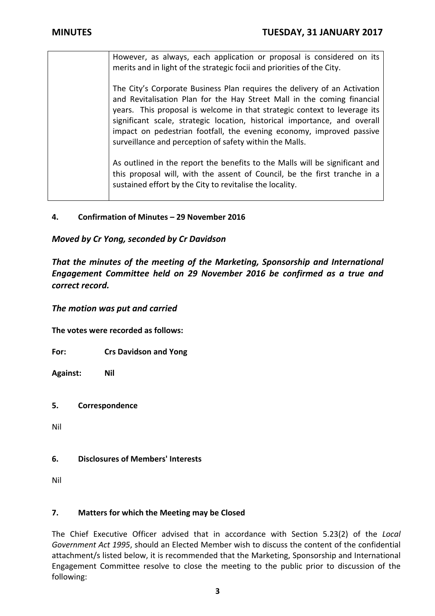| However, as always, each application or proposal is considered on its<br>merits and in light of the strategic focii and priorities of the City.                                                                                                                                                                                                                                                                                                   |
|---------------------------------------------------------------------------------------------------------------------------------------------------------------------------------------------------------------------------------------------------------------------------------------------------------------------------------------------------------------------------------------------------------------------------------------------------|
| The City's Corporate Business Plan requires the delivery of an Activation<br>and Revitalisation Plan for the Hay Street Mall in the coming financial<br>years. This proposal is welcome in that strategic context to leverage its<br>significant scale, strategic location, historical importance, and overall<br>impact on pedestrian footfall, the evening economy, improved passive<br>surveillance and perception of safety within the Malls. |
| As outlined in the report the benefits to the Malls will be significant and<br>this proposal will, with the assent of Council, be the first tranche in a<br>sustained effort by the City to revitalise the locality.                                                                                                                                                                                                                              |

# **4. Confirmation of Minutes – 29 November 2016**

*Moved by Cr Yong, seconded by Cr Davidson*

*That the minutes of the meeting of the Marketing, Sponsorship and International Engagement Committee held on 29 November 2016 be confirmed as a true and correct record.*

*The motion was put and carried*

**The votes were recorded as follows:**

**For: Crs Davidson and Yong**

**Against: Nil**

**5. Correspondence**

Nil

# **6. Disclosures of Members' Interests**

Nil

# **7. Matters for which the Meeting may be Closed**

The Chief Executive Officer advised that in accordance with Section 5.23(2) of the *Local Government Act 1995*, should an Elected Member wish to discuss the content of the confidential attachment/s listed below, it is recommended that the Marketing, Sponsorship and International Engagement Committee resolve to close the meeting to the public prior to discussion of the following: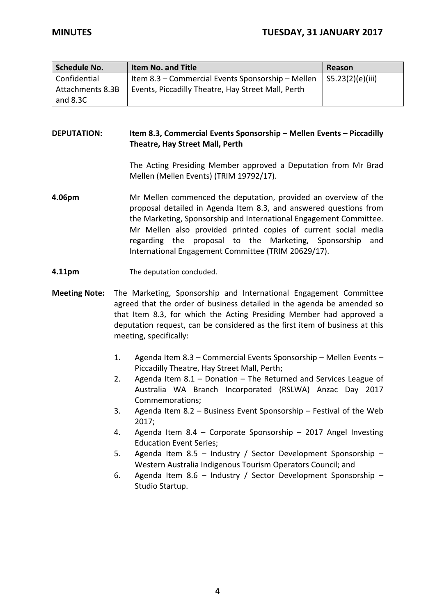| Schedule No.     | <b>Item No. and Title</b>                          | Reason           |
|------------------|----------------------------------------------------|------------------|
| Confidential     | Item 8.3 – Commercial Events Sponsorship – Mellen  | S5.23(2)(e)(iii) |
| Attachments 8.3B | Events, Piccadilly Theatre, Hay Street Mall, Perth |                  |
| and $8.3C$       |                                                    |                  |

# **DEPUTATION: Item 8.3, Commercial Events Sponsorship – Mellen Events – Piccadilly Theatre, Hay Street Mall, Perth**

The Acting Presiding Member approved a Deputation from Mr Brad Mellen (Mellen Events) (TRIM 19792/17).

- **4.06pm** Mr Mellen commenced the deputation, provided an overview of the proposal detailed in Agenda Item 8.3, and answered questions from the Marketing, Sponsorship and International Engagement Committee. Mr Mellen also provided printed copies of current social media regarding the proposal to the Marketing, Sponsorship and International Engagement Committee (TRIM 20629/17).
- **4.11pm** The deputation concluded.
- **Meeting Note:**  The Marketing, Sponsorship and International Engagement Committee agreed that the order of business detailed in the agenda be amended so that Item 8.3, for which the Acting Presiding Member had approved a deputation request, can be considered as the first item of business at this meeting, specifically:
	- 1. Agenda Item 8.3 Commercial Events Sponsorship Mellen Events Piccadilly Theatre, Hay Street Mall, Perth;
	- 2. Agenda Item 8.1 Donation The Returned and Services League of Australia WA Branch Incorporated (RSLWA) Anzac Day 2017 Commemorations;
	- 3. Agenda Item 8.2 Business Event Sponsorship Festival of the Web 2017;
	- 4. Agenda Item 8.4 Corporate Sponsorship 2017 Angel Investing Education Event Series;
	- 5. Agenda Item 8.5 Industry / Sector Development Sponsorship Western Australia Indigenous Tourism Operators Council; and
	- 6. Agenda Item 8.6 Industry / Sector Development Sponsorship Studio Startup.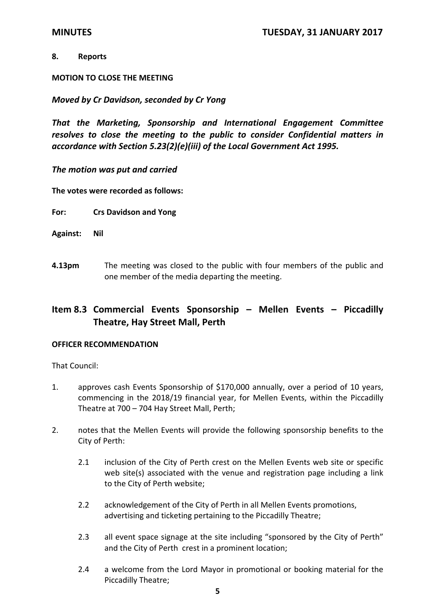### **8. Reports**

## **MOTION TO CLOSE THE MEETING**

# *Moved by Cr Davidson, seconded by Cr Yong*

*That the Marketing, Sponsorship and International Engagement Committee resolves to close the meeting to the public to consider Confidential matters in accordance with Section 5.23(2)(e)(iii) of the Local Government Act 1995.*

## *The motion was put and carried*

**The votes were recorded as follows:**

**For: Crs Davidson and Yong**

- **Against: Nil**
- **4.13pm** The meeting was closed to the public with four members of the public and one member of the media departing the meeting.

# **Item 8.3 Commercial Events Sponsorship – Mellen Events – Piccadilly Theatre, Hay Street Mall, Perth**

### **OFFICER RECOMMENDATION**

That Council:

- 1. approves cash Events Sponsorship of \$170,000 annually, over a period of 10 years, commencing in the 2018/19 financial year, for Mellen Events, within the Piccadilly Theatre at 700 – 704 Hay Street Mall, Perth;
- 2. notes that the Mellen Events will provide the following sponsorship benefits to the City of Perth:
	- 2.1 inclusion of the City of Perth crest on the Mellen Events web site or specific web site(s) associated with the venue and registration page including a link to the City of Perth website;
	- 2.2 acknowledgement of the City of Perth in all Mellen Events promotions, advertising and ticketing pertaining to the Piccadilly Theatre;
	- 2.3 all event space signage at the site including "sponsored by the City of Perth" and the City of Perth crest in a prominent location;
	- 2.4 a welcome from the Lord Mayor in promotional or booking material for the Piccadilly Theatre;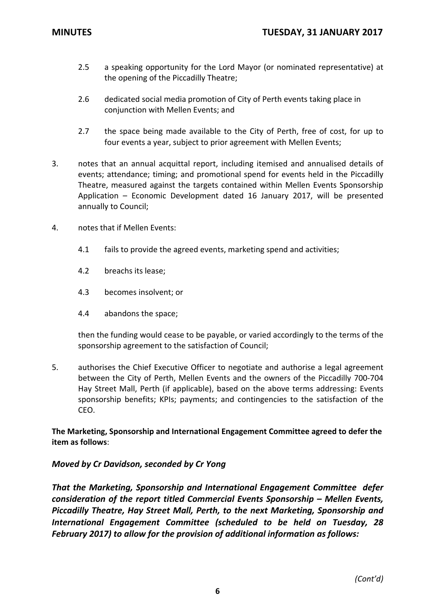- 2.5 a speaking opportunity for the Lord Mayor (or nominated representative) at the opening of the Piccadilly Theatre;
- 2.6 dedicated social media promotion of City of Perth events taking place in conjunction with Mellen Events; and
- 2.7 the space being made available to the City of Perth, free of cost, for up to four events a year, subject to prior agreement with Mellen Events;
- 3. notes that an annual acquittal report, including itemised and annualised details of events; attendance; timing; and promotional spend for events held in the Piccadilly Theatre, measured against the targets contained within Mellen Events Sponsorship Application – Economic Development dated 16 January 2017, will be presented annually to Council;
- 4. notes that if Mellen Events:
	- 4.1 fails to provide the agreed events, marketing spend and activities;
	- 4.2 breachs its lease;
	- 4.3 becomes insolvent; or
	- 4.4 abandons the space;

then the funding would cease to be payable, or varied accordingly to the terms of the sponsorship agreement to the satisfaction of Council;

5. authorises the Chief Executive Officer to negotiate and authorise a legal agreement between the City of Perth, Mellen Events and the owners of the Piccadilly 700‐704 Hay Street Mall, Perth (if applicable), based on the above terms addressing: Events sponsorship benefits; KPIs; payments; and contingencies to the satisfaction of the CEO.

**The Marketing, Sponsorship and International Engagement Committee agreed to defer the item as follows**:

# *Moved by Cr Davidson, seconded by Cr Yong*

*That the Marketing, Sponsorship and International Engagement Committee defer consideration of the report titled Commercial Events Sponsorship – Mellen Events, Piccadilly Theatre, Hay Street Mall, Perth, to the next Marketing, Sponsorship and International Engagement Committee (scheduled to be held on Tuesday, 28 February 2017) to allow for the provision of additional information as follows:*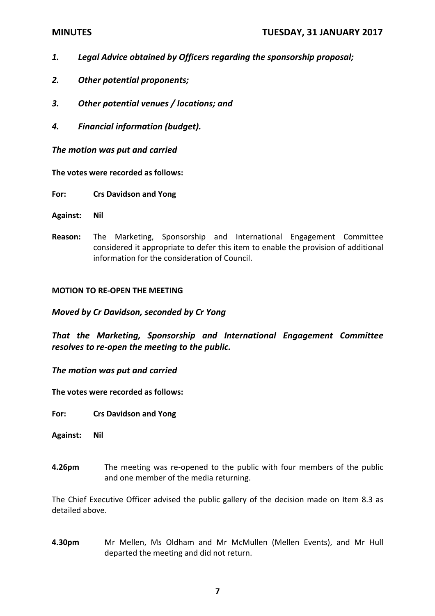- *1. Legal Advice obtained by Officers regarding the sponsorship proposal;*
- *2. Other potential proponents;*
- *3. Other potential venues / locations; and*
- *4. Financial information (budget).*

*The motion was put and carried*

**The votes were recorded as follows:**

**For: Crs Davidson and Yong**

- **Against: Nil**
- **Reason:** The Marketing, Sponsorship and International Engagement Committee considered it appropriate to defer this item to enable the provision of additional information for the consideration of Council.

### **MOTION TO RE‐OPEN THE MEETING**

*Moved by Cr Davidson, seconded by Cr Yong*

*That the Marketing, Sponsorship and International Engagement Committee resolves to re‐open the meeting to the public.*

*The motion was put and carried*

**The votes were recorded as follows:**

**For: Crs Davidson and Yong**

- **Against: Nil**
- **4.26pm** The meeting was re-opened to the public with four members of the public and one member of the media returning.

The Chief Executive Officer advised the public gallery of the decision made on Item 8.3 as detailed above.

**4.30pm** Mr Mellen, Ms Oldham and Mr McMullen (Mellen Events), and Mr Hull departed the meeting and did not return.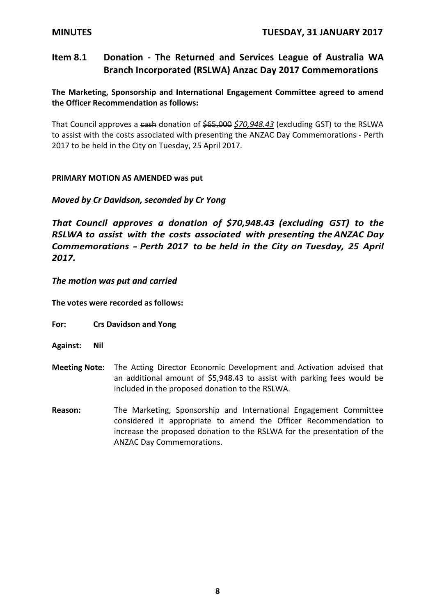# **Item 8.1 Donation ‐ The Returned and Services League of Australia WA Branch Incorporated (RSLWA) Anzac Day 2017 Commemorations**

**The Marketing, Sponsorship and International Engagement Committee agreed to amend the Officer Recommendation as follows:**

That Council approves a cash donation of \$65,000 *\$70,948.43* (excluding GST) to the RSLWA to assist with the costs associated with presenting the ANZAC Day Commemorations ‐ Perth 2017 to be held in the City on Tuesday, 25 April 2017.

# **PRIMARY MOTION AS AMENDED was put**

# *Moved by Cr Davidson, seconded by Cr Yong*

*That Council approves a donation of \$70,948.43 (excluding GST) to the RSLWA to assist with the costs associated with presenting the ANZAC Day Commemorations ‐ Perth <sup>2017</sup> to be held in the City on Tuesday, <sup>25</sup> April 2017.*

## *The motion was put and carried*

**The votes were recorded as follows:**

- **For: Crs Davidson and Yong**
- **Against: Nil**
- **Meeting Note:** The Acting Director Economic Development and Activation advised that an additional amount of \$5,948.43 to assist with parking fees would be included in the proposed donation to the RSLWA.
- **Reason:** The Marketing, Sponsorship and International Engagement Committee considered it appropriate to amend the Officer Recommendation to increase the proposed donation to the RSLWA for the presentation of the ANZAC Day Commemorations.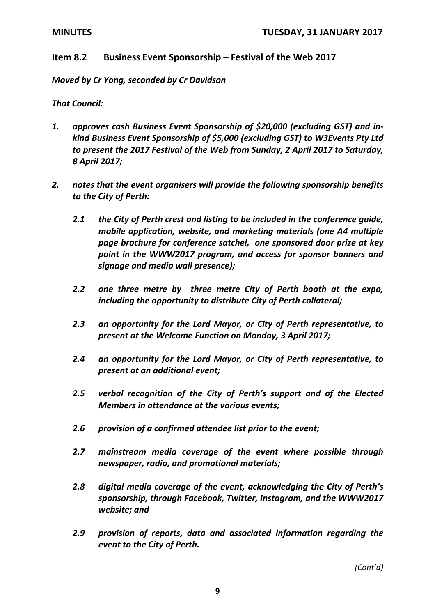# **Item 8.2 Business Event Sponsorship – Festival of the Web 2017**

*Moved by Cr Yong, seconded by Cr Davidson*

*That Council:*

- *1. approves cash Business Event Sponsorship of \$20,000 (excluding GST) and in‐ kind Business Event Sponsorship of \$5,000 (excluding GST) to W3Events Pty Ltd to present the 2017 Festival of the Web from Sunday, 2 April 2017 to Saturday, 8 April 2017;*
- *2. notes that the event organisers will provide the following sponsorship benefits to the City of Perth:* 
	- *2.1 the City of Perth crest and listing to be included in the conference guide, mobile application, website, and marketing materials (one A4 multiple page brochure for conference satchel, one sponsored door prize at key point in the WWW2017 program, and access for sponsor banners and signage and media wall presence);*
	- *2.2 one three metre by three metre City of Perth booth at the expo, including the opportunity to distribute City of Perth collateral;*
	- *2.3 an opportunity for the Lord Mayor, or City of Perth representative, to present at the Welcome Function on Monday, 3 April 2017;*
	- *2.4 an opportunity for the Lord Mayor, or City of Perth representative, to present at an additional event;*
	- *2.5 verbal recognition of the City of Perth's support and of the Elected Members in attendance at the various events;*
	- *2.6 provision of a confirmed attendee list prior to the event;*
	- *2.7 mainstream media coverage of the event where possible through newspaper, radio, and promotional materials;*
	- *2.8 digital media coverage of the event, acknowledging the City of Perth's sponsorship, through Facebook, Twitter, Instagram, and the WWW2017 website; and*
	- *2.9 provision of reports, data and associated information regarding the event to the City of Perth.*

*(Cont'd)*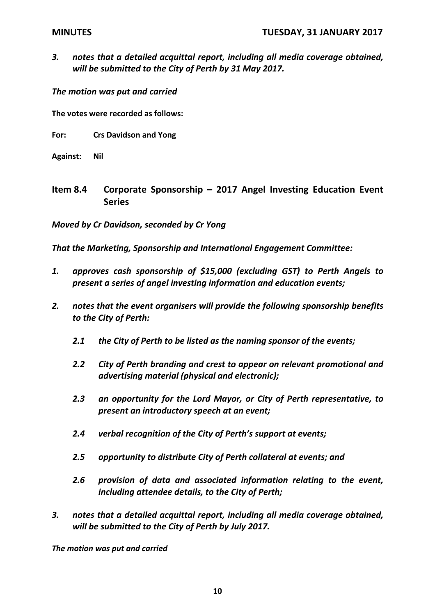*3. notes that a detailed acquittal report, including all media coverage obtained, will be submitted to the City of Perth by 31 May 2017.*

*The motion was put and carried*

**The votes were recorded as follows:**

- **For: Crs Davidson and Yong**
- **Against: Nil**
- **Item 8.4 Corporate Sponsorship – 2017 Angel Investing Education Event Series**

*Moved by Cr Davidson, seconded by Cr Yong*

*That the Marketing, Sponsorship and International Engagement Committee:*

- *1. approves cash sponsorship of \$15,000 (excluding GST) to Perth Angels to present a series of angel investing information and education events;*
- *2. notes that the event organisers will provide the following sponsorship benefits to the City of Perth:*
	- *2.1 the City of Perth to be listed as the naming sponsor of the events;*
	- *2.2 City of Perth branding and crest to appear on relevant promotional and advertising material (physical and electronic);*
	- *2.3 an opportunity for the Lord Mayor, or City of Perth representative, to present an introductory speech at an event;*
	- *2.4 verbal recognition of the City of Perth's support at events;*
	- *2.5 opportunity to distribute City of Perth collateral at events; and*
	- *2.6 provision of data and associated information relating to the event, including attendee details, to the City of Perth;*
- *3. notes that a detailed acquittal report, including all media coverage obtained, will be submitted to the City of Perth by July 2017.*

*The motion was put and carried*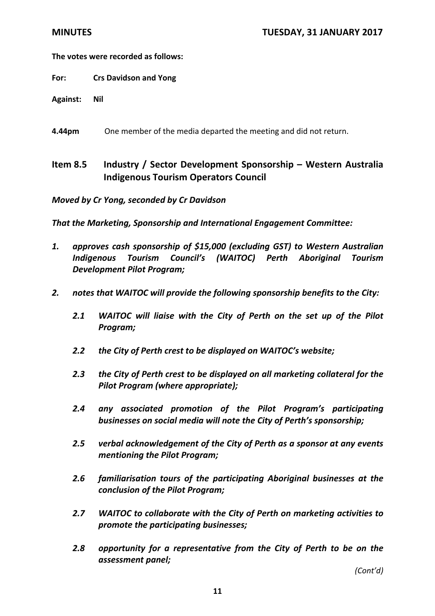# **The votes were recorded as follows:**

- **For: Crs Davidson and Yong**
- **Against: Nil**
- **4.44pm** One member of the media departed the meeting and did not return.

# **Item 8.5 Industry / Sector Development Sponsorship – Western Australia Indigenous Tourism Operators Council**

*Moved by Cr Yong, seconded by Cr Davidson*

*That the Marketing, Sponsorship and International Engagement Committee:*

- *1. approves cash sponsorship of \$15,000 (excluding GST) to Western Australian Indigenous Tourism Council's (WAITOC) Perth Aboriginal Tourism Development Pilot Program;*
- *2. notes that WAITOC will provide the following sponsorship benefits to the City:*
	- *2.1 WAITOC will liaise with the City of Perth on the set up of the Pilot Program;*
	- *2.2 the City of Perth crest to be displayed on WAITOC's website;*
	- *2.3 the City of Perth crest to be displayed on all marketing collateral for the Pilot Program (where appropriate);*
	- *2.4 any associated promotion of the Pilot Program's participating businesses on social media will note the City of Perth's sponsorship;*
	- *2.5 verbal acknowledgement of the City of Perth as a sponsor at any events mentioning the Pilot Program;*
	- *2.6 familiarisation tours of the participating Aboriginal businesses at the conclusion of the Pilot Program;*
	- *2.7 WAITOC to collaborate with the City of Perth on marketing activities to promote the participating businesses;*
	- *2.8 opportunity for a representative from the City of Perth to be on the assessment panel;*

*(Cont'd)*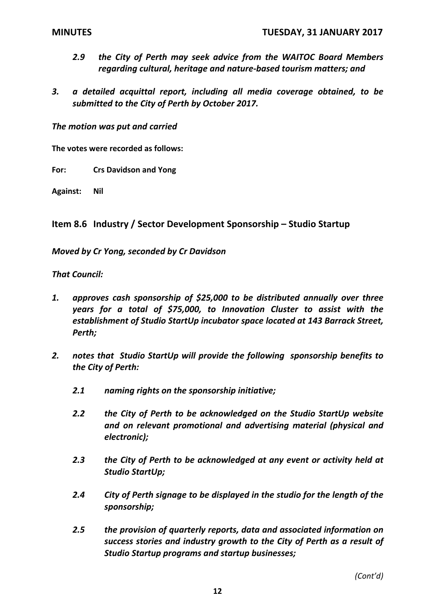- *2.9 the City of Perth may seek advice from the WAITOC Board Members regarding cultural, heritage and nature‐based tourism matters; and*
- *3. a detailed acquittal report, including all media coverage obtained, to be submitted to the City of Perth by October 2017.*

*The motion was put and carried*

**The votes were recorded as follows:**

**For: Crs Davidson and Yong**

**Against: Nil**

**Item 8.6 Industry / Sector Development Sponsorship – Studio Startup**

*Moved by Cr Yong, seconded by Cr Davidson*

## *That Council:*

- *1. approves cash sponsorship of \$25,000 to be distributed annually over three years for a total of \$75,000, to Innovation Cluster to assist with the establishment of Studio StartUp incubator space located at 143 Barrack Street, Perth;*
- *2. notes that Studio StartUp will provide the following sponsorship benefits to the City of Perth:*
	- *2.1 naming rights on the sponsorship initiative;*
	- *2.2 the City of Perth to be acknowledged on the Studio StartUp website and on relevant promotional and advertising material (physical and electronic);*
	- *2.3 the City of Perth to be acknowledged at any event or activity held at Studio StartUp;*
	- *2.4 City of Perth signage to be displayed in the studio for the length of the sponsorship;*
	- *2.5 the provision of quarterly reports, data and associated information on success stories and industry growth to the City of Perth as a result of Studio Startup programs and startup businesses;*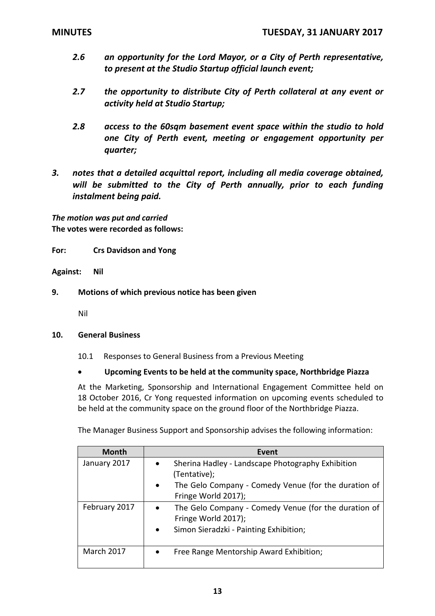- *2.6 an opportunity for the Lord Mayor, or a City of Perth representative, to present at the Studio Startup official launch event;*
- *2.7 the opportunity to distribute City of Perth collateral at any event or activity held at Studio Startup;*
- *2.8 access to the 60sqm basement event space within the studio to hold one City of Perth event, meeting or engagement opportunity per quarter;*
- *3. notes that a detailed acquittal report, including all media coverage obtained, will be submitted to the City of Perth annually, prior to each funding instalment being paid.*

*The motion was put and carried* **The votes were recorded as follows:**

**For: Crs Davidson and Yong**

**Against: Nil**

**9. Motions of which previous notice has been given**

Nil

### **10. General Business**

10.1 Responses to General Business from a Previous Meeting

### **Upcoming Events to be held at the community space, Northbridge Piazza**

At the Marketing, Sponsorship and International Engagement Committee held on 18 October 2016, Cr Yong requested information on upcoming events scheduled to be held at the community space on the ground floor of the Northbridge Piazza.

The Manager Business Support and Sponsorship advises the following information:

| <b>Month</b>      | Event                                                                                                                              |
|-------------------|------------------------------------------------------------------------------------------------------------------------------------|
| January 2017      | Sherina Hadley - Landscape Photography Exhibition<br>$\bullet$<br>(Tentative);                                                     |
|                   | The Gelo Company - Comedy Venue (for the duration of<br>$\bullet$<br>Fringe World 2017);                                           |
| February 2017     | The Gelo Company - Comedy Venue (for the duration of<br>Fringe World 2017);<br>Simon Sieradzki - Painting Exhibition;<br>$\bullet$ |
| <b>March 2017</b> | Free Range Mentorship Award Exhibition;                                                                                            |